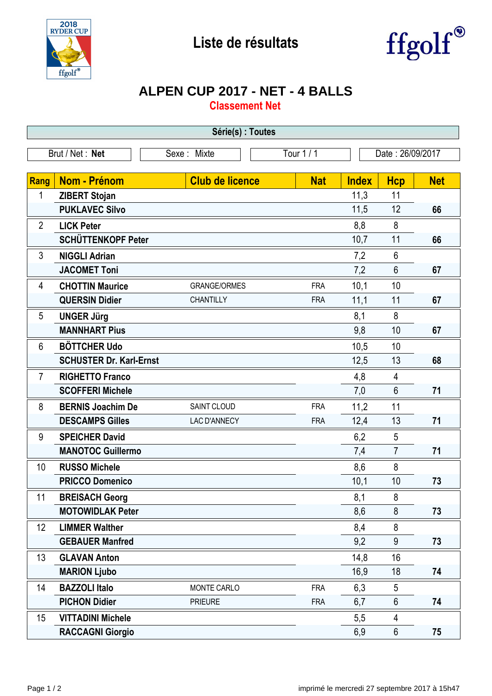



## **ALPEN CUP 2017 - NET - 4 BALLS**

**Classement Net**

| Série(s) : Toutes                                                |                                |                        |            |              |                 |            |  |  |  |  |
|------------------------------------------------------------------|--------------------------------|------------------------|------------|--------------|-----------------|------------|--|--|--|--|
| Tour 1 / 1<br>Brut / Net: Net<br>Date: 26/09/2017<br>Sexe: Mixte |                                |                        |            |              |                 |            |  |  |  |  |
|                                                                  |                                |                        |            |              |                 |            |  |  |  |  |
| Rang                                                             | <b>Nom - Prénom</b>            | <b>Club de licence</b> | <b>Nat</b> | <b>Index</b> | <b>Hcp</b>      | <b>Net</b> |  |  |  |  |
| 1                                                                | <b>ZIBERT Stojan</b>           |                        |            | 11,3         | 11              |            |  |  |  |  |
|                                                                  | <b>PUKLAVEC Silvo</b>          |                        |            | 11,5         | 12              | 66         |  |  |  |  |
| $\overline{2}$                                                   | <b>LICK Peter</b>              |                        |            | 8,8          | 8               |            |  |  |  |  |
|                                                                  | SCHÜTTENKOPF Peter             |                        |            | 10,7         | 11              | 66         |  |  |  |  |
| $\mathfrak{Z}$                                                   | <b>NIGGLI Adrian</b>           |                        |            | 7,2          | $6\phantom{1}$  |            |  |  |  |  |
|                                                                  | <b>JACOMET Toni</b>            |                        |            | 7,2          | $6\phantom{1}$  | 67         |  |  |  |  |
| 4                                                                | <b>CHOTTIN Maurice</b>         | <b>GRANGE/ORMES</b>    | <b>FRA</b> | 10,1         | 10              |            |  |  |  |  |
|                                                                  | <b>QUERSIN Didier</b>          | CHANTILLY              | <b>FRA</b> | 11,1         | 11              | 67         |  |  |  |  |
| 5                                                                | <b>UNGER Jürg</b>              |                        |            | 8,1          | 8               |            |  |  |  |  |
|                                                                  | <b>MANNHART Pius</b>           |                        |            | 9,8          | 10              | 67         |  |  |  |  |
| $6\phantom{1}$                                                   | <b>BÖTTCHER Udo</b>            |                        |            | 10,5         | 10              |            |  |  |  |  |
|                                                                  | <b>SCHUSTER Dr. Karl-Ernst</b> |                        |            | 12,5         | 13              | 68         |  |  |  |  |
| $\overline{7}$                                                   | <b>RIGHETTO Franco</b>         |                        |            | 4,8          | $\overline{4}$  |            |  |  |  |  |
|                                                                  | <b>SCOFFERI Michele</b>        |                        |            | 7,0          | $6\phantom{1}$  | 71         |  |  |  |  |
| 8                                                                | <b>BERNIS Joachim De</b>       | SAINT CLOUD            | <b>FRA</b> | 11,2         | 11              |            |  |  |  |  |
|                                                                  | <b>DESCAMPS Gilles</b>         | LAC D'ANNECY           | <b>FRA</b> | 12,4         | 13              | 71         |  |  |  |  |
| 9                                                                | <b>SPEICHER David</b>          |                        |            | 6,2          | 5               |            |  |  |  |  |
|                                                                  | <b>MANOTOC Guillermo</b>       |                        |            | 7,4          | $\overline{7}$  | 71         |  |  |  |  |
| 10                                                               | <b>RUSSO Michele</b>           |                        |            | 8,6          | 8               |            |  |  |  |  |
|                                                                  | <b>PRICCO Domenico</b>         |                        |            | 10,1         | 10              | 73         |  |  |  |  |
| 11                                                               | <b>BREISACH Georg</b>          |                        |            | 8,1          | $\bf 8$         |            |  |  |  |  |
|                                                                  | <b>MOTOWIDLAK Peter</b>        |                        |            | 8,6          | 8               | 73         |  |  |  |  |
| 12                                                               | <b>LIMMER Walther</b>          |                        |            | 8,4          | 8               |            |  |  |  |  |
|                                                                  | <b>GEBAUER Manfred</b>         |                        |            | 9,2          | 9               | 73         |  |  |  |  |
| 13                                                               | <b>GLAVAN Anton</b>            |                        |            | 14,8         | 16              |            |  |  |  |  |
|                                                                  | <b>MARION Ljubo</b>            |                        |            | 16,9         | 18              | 74         |  |  |  |  |
| 14                                                               | <b>BAZZOLI Italo</b>           | MONTE CARLO            | <b>FRA</b> | 6,3          | 5               |            |  |  |  |  |
|                                                                  | <b>PICHON Didier</b>           | <b>PRIEURE</b>         | <b>FRA</b> | 6,7          | 6               | 74         |  |  |  |  |
| 15                                                               | <b>VITTADINI Michele</b>       |                        |            | 5,5          | 4               |            |  |  |  |  |
|                                                                  | <b>RACCAGNI Giorgio</b>        |                        |            | 6,9          | $6\phantom{.}6$ | 75         |  |  |  |  |